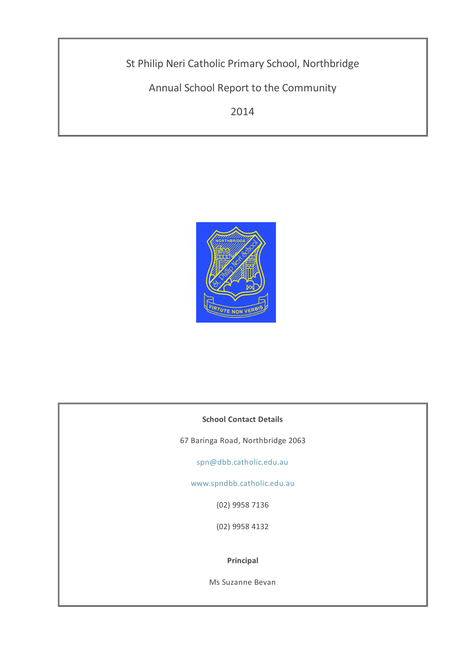St Philip Neri Catholic Primary School, Northbridge

Annual School Report to the Community

2014



# **School Contact Details**

67 Baringa Road, Northbridge 2063

[spn@dbb.catholic.edu.au](mailto: spn@dbb.catholic.edu.au)

[www.spndbb.catholic.edu.au](http://asr.dbb.org.au/Reports/Print/310/www.spndbb.catholic.edu.au)

(02) 9958 7136

(02) 9958 4132

### **Principal**

Ms Suzanne Bevan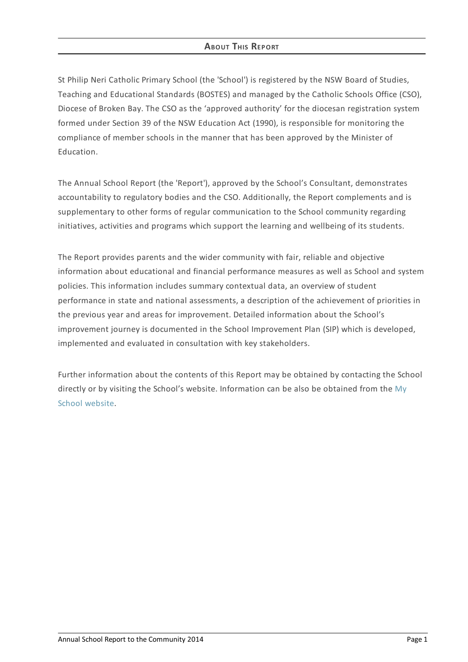# **ABOUT THIS REPORT**

St Philip Neri Catholic Primary School (the 'School') is registered by the NSW Board of Studies, Teaching and Educational Standards (BOSTES) and managed by the Catholic Schools Office (CSO), Diocese of Broken Bay. The CSO as the 'approved authority' for the diocesan registration system formed under Section 39 of the NSW Education Act (1990), is responsible for monitoring the compliance of member schools in the manner that has been approved by the Minister of Education.

The Annual School Report (the 'Report'), approved by the School's Consultant, demonstrates accountability to regulatory bodies and the CSO. Additionally, the Report complements and is supplementary to other forms of regular communication to the School community regarding initiatives, activities and programs which support the learning and wellbeing of its students.

The Report provides parents and the wider community with fair, reliable and objective information about educational and financial performance measures as well as School and system policies. This information includes summary contextual data, an overview of student performance in state and national assessments, a description of the achievement of priorities in the previous year and areas for improvement. Detailed information about the School's improvement journey is documented in the School Improvement Plan (SIP) which is developed, implemented and evaluated in consultation with key stakeholders.

Further information about the contents of this Report may be obtained by contacting the School directly or by visiting the School's website. [Information](http://www.myschool.edu.au/) can be also be obtained from the My School website.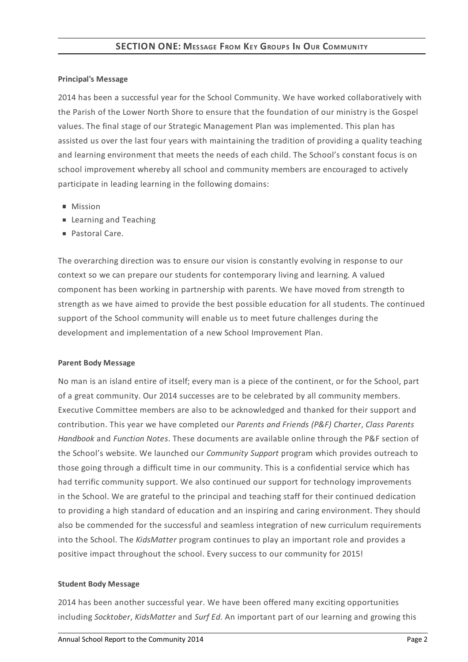## **Principal's Message**

2014 has been a successful year for the School Community. We have worked collaboratively with the Parish of the Lower North Shore to ensure that the foundation of our ministry is the Gospel values. The final stage of our Strategic Management Plan was implemented. This plan has assisted us over the last four years with maintaining the tradition of providing a quality teaching and learning environment that meets the needs of each child. The School's constant focus is on school improvement whereby all school and community members are encouraged to actively participate in leading learning in the following domains:

- **Mission**
- **Learning and Teaching**
- Pastoral Care.

The overarching direction was to ensure our vision is constantly evolving in response to our context so we can prepare our students for contemporary living and learning. A valued component has been working in partnership with parents. We have moved from strength to strength as we have aimed to provide the best possible education for all students. The continued support of the School community will enable us to meet future challenges during the development and implementation of a new School Improvement Plan.

### **Parent Body Message**

No man is an island entire of itself; every man is a piece of the continent, or for the School, part of a great community. Our 2014 successes are to be celebrated by all community members. Executive Committee members are also to be acknowledged and thanked for their support and contribution. This year we have completed our *Parents and Friends (P&F) Charter*, *Class Parents Handbook* and *Function Notes*. These documents are available online through the P&F section of the School's website. We launched our *Community Support* program which provides outreach to those going through a difficult time in our community. This is a confidential service which has had terrific community support. We also continued our support for technology improvements in the School. We are grateful to the principal and teaching staff for their continued dedication to providing a high standard of education and an inspiring and caring environment. They should also be commended for the successful and seamless integration of new curriculum requirements into the School. The *KidsMatter* program continues to play an important role and provides a positive impact throughout the school. Every success to our community for 2015!

## **Student Body Message**

2014 has been another successful year. We have been offered many exciting opportunities including *Socktober*, *KidsMatter* and *Surf Ed*. An important part of our learning and growing this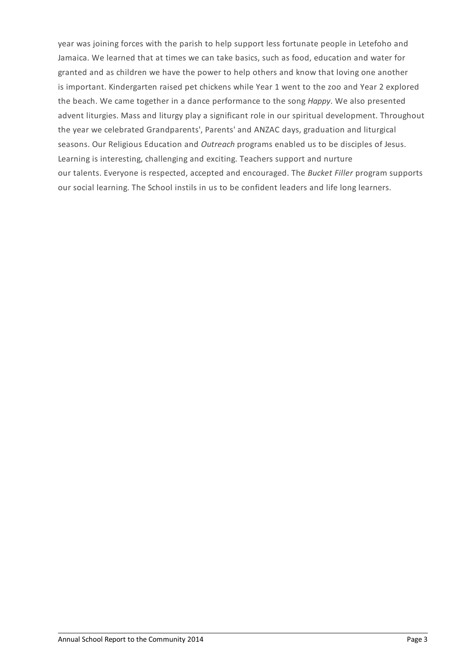year was joining forces with the parish to help support less fortunate people in Letefoho and Jamaica. We learned that at times we can take basics, such as food, education and water for granted and as children we have the power to help others and know that loving one another is important. Kindergarten raised pet chickens while Year 1 went to the zoo and Year 2 explored the beach. We came together in a dance performance to the song *Happy*. We also presented advent liturgies. Mass and liturgy play a significant role in our spiritual development. Throughout the year we celebrated Grandparents', Parents' and ANZAC days, graduation and liturgical seasons. Our Religious Education and *Outreach* programs enabled us to be disciples of Jesus. Learning is interesting, challenging and exciting. Teachers support and nurture our talents. Everyone is respected, accepted and encouraged. The *Bucket Filler* program supports our social learning. The School instils in us to be confident leaders and life long learners.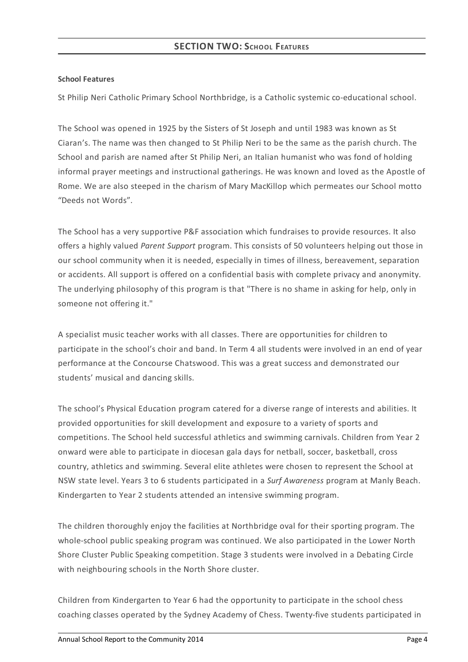### **School Features**

St Philip Neri Catholic Primary School Northbridge, is a Catholic systemic co-educational school.

The School was opened in 1925 by the Sisters of St Joseph and until 1983 was known as St Ciaran's. The name was then changed to St Philip Neri to be the same as the parish church. The School and parish are named after St Philip Neri, an Italian humanist who was fond of holding informal prayer meetings and instructional gatherings. He was known and loved as the Apostle of Rome. We are also steeped in the charism of Mary MacKillop which permeates our School motto "Deeds not Words".

The School has a very supportive P&F association which fundraises to provide resources. It also offers a highly valued *Parent Support* program. This consists of 50 volunteers helping out those in our school community when it is needed, especially in times of illness, bereavement, separation or accidents. All support is offered on a confidential basis with complete privacy and anonymity. The underlying philosophy of this program is that "There is no shame in asking for help, only in someone not offering it."

A specialist music teacher works with all classes. There are opportunities for children to participate in the school's choir and band. In Term 4 all students were involved in an end of year performance at the Concourse Chatswood. This was a great success and demonstrated our students' musical and dancing skills.

The school's Physical Education program catered for a diverse range of interests and abilities. It provided opportunities for skill development and exposure to a variety of sports and competitions. The School held successful athletics and swimming carnivals. Children from Year 2 onward were able to participate in diocesan gala days for netball, soccer, basketball, cross country, athletics and swimming. Several elite athletes were chosen to represent the School at NSW state level. Years 3 to 6 students participated in a *Surf Awareness* program at Manly Beach. Kindergarten to Year 2 students attended an intensive swimming program.

The children thoroughly enjoy the facilities at Northbridge oval for their sporting program. The whole-school public speaking program was continued. We also participated in the Lower North Shore Cluster Public Speaking competition. Stage 3 students were involved in a Debating Circle with neighbouring schools in the North Shore cluster.

Children from Kindergarten to Year 6 had the opportunity to participate in the school chess coaching classes operated by the Sydney Academy of Chess. Twenty-five students participated in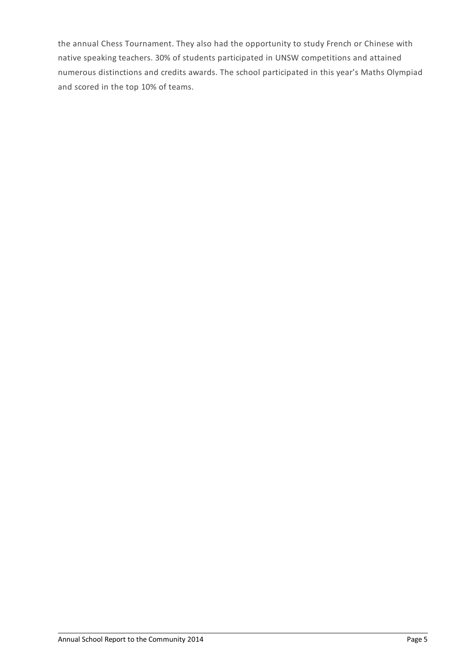the annual Chess Tournament. They also had the opportunity to study French or Chinese with native speaking teachers. 30% of students participated in UNSW competitions and attained numerous distinctions and credits awards. The school participated in this year's Maths Olympiad and scored in the top 10% of teams.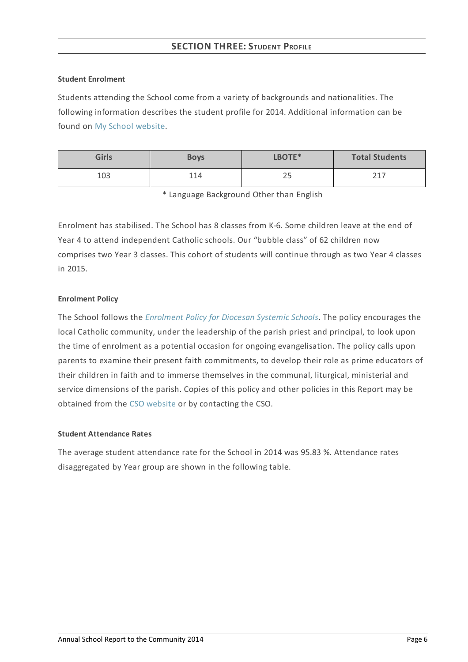### **Student Enrolment**

Students attending the School come from a variety of backgrounds and nationalities. The following information describes the student profile for 2014. Additional information can be found on My School [website](http://www.myschool.edu.au/).

| <b>Girls</b> | <b>Boys</b> | LBOTE*   | <b>Total Students</b> |
|--------------|-------------|----------|-----------------------|
| 103          | 114         | nг<br>رے | つ 1 つ                 |

\* Language Background Other than English

Enrolment has stabilised. The School has 8 classes from K-6. Some children leave at the end of Year 4 to attend independent Catholic schools. Our "bubble class" of 62 children now comprises two Year 3 classes. This cohort of students will continue through as two Year 4 classes in 2015.

### **Enrolment Policy**

The School follows the *[Enrolment](https://www.csodbb.catholic.edu.au/about/dsp-collection.cfm?loadref=125) Policy for Diocesan Systemic Schools*. The policy encourages the local Catholic community, under the leadership of the parish priest and principal, to look upon the time of enrolment as a potential occasion for ongoing evangelisation. The policy calls upon parents to examine their present faith commitments, to develop their role as prime educators of their children in faith and to immerse themselves in the communal, liturgical, ministerial and service dimensions of the parish. Copies of this policy and other policies in this Report may be obtained from the CSO [website](https://www.csodbb.catholic.edu.au/index.cfm) or by contacting the CSO.

## **Student Attendance Rates**

The average student attendance rate for the School in 2014 was 95.83 %. Attendance rates disaggregated by Year group are shown in the following table.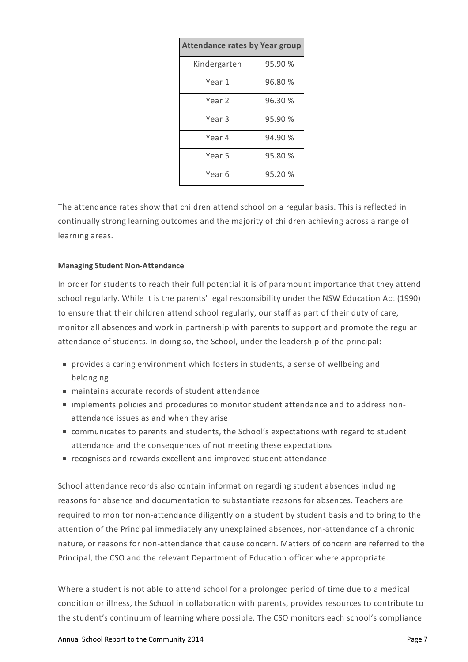| <b>Attendance rates by Year group</b> |         |  |  |
|---------------------------------------|---------|--|--|
| Kindergarten                          | 95.90 % |  |  |
| Year 1                                | 96.80 % |  |  |
| Year 2                                | 96.30 % |  |  |
| Year 3                                | 95.90 % |  |  |
| Year 4                                | 94.90 % |  |  |
| Year 5                                | 95.80 % |  |  |
| Year 6                                | 95.20 % |  |  |

The attendance rates show that children attend school on a regular basis. This is reflected in continually strong learning outcomes and the majority of children achieving across a range of learning areas.

## **Managing Student Non-Attendance**

In order for students to reach their full potential it is of paramount importance that they attend school regularly. While it is the parents' legal responsibility under the NSW Education Act (1990) to ensure that their children attend school regularly, our staff as part of their duty of care, monitor all absences and work in partnership with parents to support and promote the regular attendance of students. In doing so, the School, under the leadership of the principal:

- provides a caring environment which fosters in students, a sense of wellbeing and belonging
- maintains accurate records of student attendance
- implements policies and procedures to monitor student attendance and to address nonattendance issues as and when they arise
- communicates to parents and students, the School's expectations with regard to student attendance and the consequences of not meeting these expectations
- recognises and rewards excellent and improved student attendance.

School attendance records also contain information regarding student absences including reasons for absence and documentation to substantiate reasons for absences. Teachers are required to monitor non-attendance diligently on a student by student basis and to bring to the attention of the Principal immediately any unexplained absences, non-attendance of a chronic nature, or reasons for non-attendance that cause concern. Matters of concern are referred to the Principal, the CSO and the relevant Department of Education officer where appropriate.

Where a student is not able to attend school for a prolonged period of time due to a medical condition or illness, the School in collaboration with parents, provides resources to contribute to the student's continuum of learning where possible. The CSO monitors each school's compliance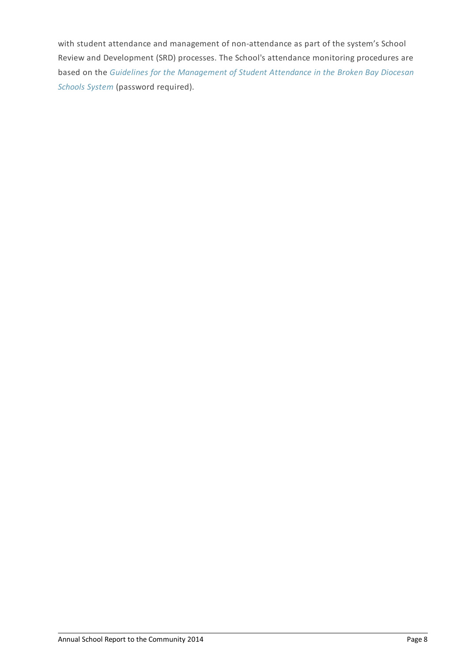with student attendance and management of non-attendance as part of the system's School Review and Development (SRD) processes. The School's attendance monitoring procedures are based on the *Guidelines for the [Management](http://srd.dbbcso.org/attendance--enrolment.html) of Student Attendance in the Broken Bay Diocesan Schools System* (password required).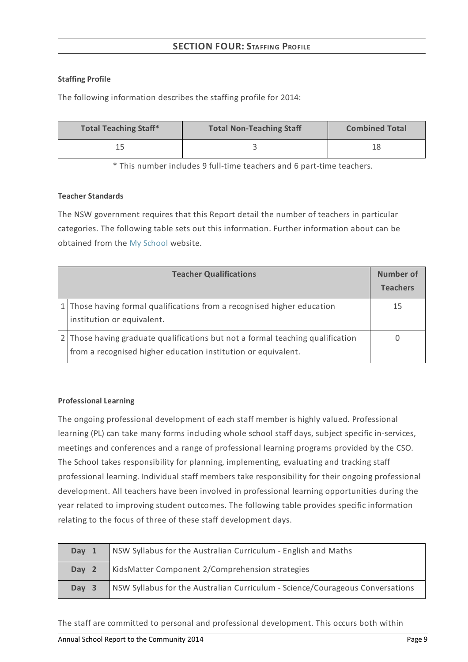# **SECTION FOUR:STAFFING PROFILE**

## **Staffing Profile**

The following information describes the staffing profile for 2014:

| <b>Total Teaching Staff*</b> | <b>Total Non-Teaching Staff</b> | <b>Combined Total</b> |
|------------------------------|---------------------------------|-----------------------|
|                              |                                 |                       |

\* This number includes 9 full-time teachers and 6 part-time teachers.

# **Teacher Standards**

The NSW government requires that this Report detail the number of teachers in particular categories. The following table sets out this information. Further information about can be obtained from the My [School](http://www.myschool.edu.au/) website.

| <b>Teacher Qualifications</b>                                                                                                                   | Number of<br><b>Teachers</b> |
|-------------------------------------------------------------------------------------------------------------------------------------------------|------------------------------|
| 1 Those having formal qualifications from a recognised higher education<br>institution or equivalent.                                           | 15                           |
| 2 Those having graduate qualifications but not a formal teaching qualification<br>from a recognised higher education institution or equivalent. |                              |

# **Professional Learning**

The ongoing professional development of each staff member is highly valued. Professional learning (PL) can take many forms including whole school staff days, subject specific in-services, meetings and conferences and a range of professional learning programs provided by the CSO. The School takes responsibility for planning, implementing, evaluating and tracking staff professional learning. Individual staff members take responsibility for their ongoing professional development. All teachers have been involved in professional learning opportunities during the year related to improving student outcomes. The following table provides specific information relating to the focus of three of these staff development days.

| Day 1 | NSW Syllabus for the Australian Curriculum - English and Maths                |
|-------|-------------------------------------------------------------------------------|
| Day 2 | KidsMatter Component 2/Comprehension strategies                               |
| Day 3 | NSW Syllabus for the Australian Curriculum - Science/Courageous Conversations |

The staff are committed to personal and professional development. This occurs both within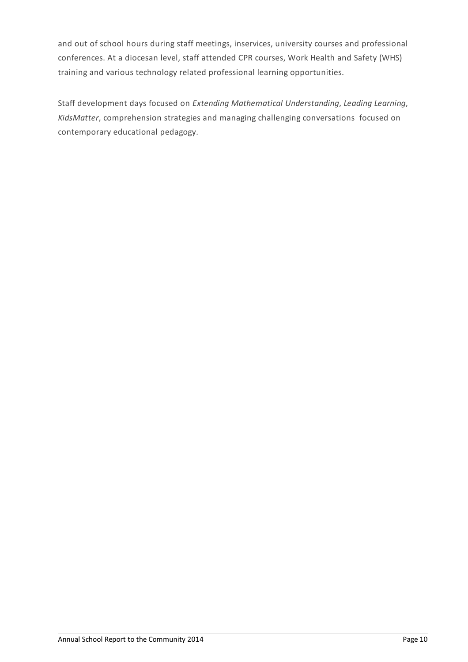and out of school hours during staff meetings, inservices, university courses and professional conferences. At a diocesan level, staff attended CPR courses, Work Health and Safety (WHS) training and various technology related professional learning opportunities.

Staff development days focused on *Extending Mathematical Understanding*, *Leading Learning*, *KidsMatter*, comprehension strategies and managing challenging conversations focused on contemporary educational pedagogy.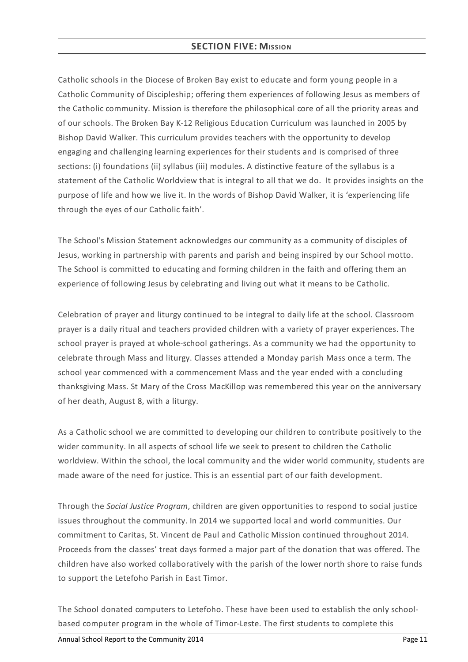# **SECTION FIVE: MISSION**

Catholic schools in the Diocese of Broken Bay exist to educate and form young people in a Catholic Community of Discipleship; offering them experiences of following Jesus as members of the Catholic community. Mission is therefore the philosophical core of all the priority areas and of our schools. The Broken Bay K-12 Religious Education Curriculum was launched in 2005 by Bishop David Walker. This curriculum provides teachers with the opportunity to develop engaging and challenging learning experiences for their students and is comprised of three sections: (i) foundations (ii) syllabus (iii) modules. A distinctive feature of the syllabus is a statement of the Catholic Worldview that is integral to all that we do. It provides insights on the purpose of life and how we live it. In the words of Bishop David Walker, it is 'experiencing life through the eyes of our Catholic faith'.

The School's Mission Statement acknowledges our community as a community of disciples of Jesus, working in partnership with parents and parish and being inspired by our School motto. The School is committed to educating and forming children in the faith and offering them an experience of following Jesus by celebrating and living out what it means to be Catholic.

Celebration of prayer and liturgy continued to be integral to daily life at the school. Classroom prayer is a daily ritual and teachers provided children with a variety of prayer experiences. The school prayer is prayed at whole-school gatherings. As a community we had the opportunity to celebrate through Mass and liturgy. Classes attended a Monday parish Mass once a term. The school year commenced with a commencement Mass and the year ended with a concluding thanksgiving Mass. St Mary of the Cross MacKillop was remembered this year on the anniversary of her death, August 8, with a liturgy.

As a Catholic school we are committed to developing our children to contribute positively to the wider community. In all aspects of school life we seek to present to children the Catholic worldview. Within the school, the local community and the wider world community, students are made aware of the need for justice. This is an essential part of our faith development.

Through the *Social Justice Program*, children are given opportunities to respond to social justice issues throughout the community. In 2014 we supported local and world communities. Our commitment to Caritas, St. Vincent de Paul and Catholic Mission continued throughout 2014. Proceeds from the classes' treat days formed a major part of the donation that was offered. The children have also worked collaboratively with the parish of the lower north shore to raise funds to support the Letefoho Parish in East Timor.

The School donated computers to Letefoho. These have been used to establish the only schoolbased computer program in the whole of Timor-Leste. The first students to complete this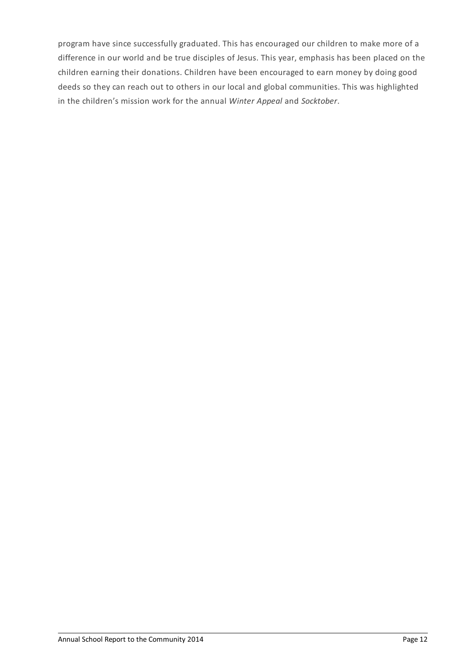program have since successfully graduated. This has encouraged our children to make more of a difference in our world and be true disciples of Jesus. This year, emphasis has been placed on the children earning their donations. Children have been encouraged to earn money by doing good deeds so they can reach out to others in our local and global communities. This was highlighted in the children's mission work for the annual *Winter Appeal* and *Socktober*.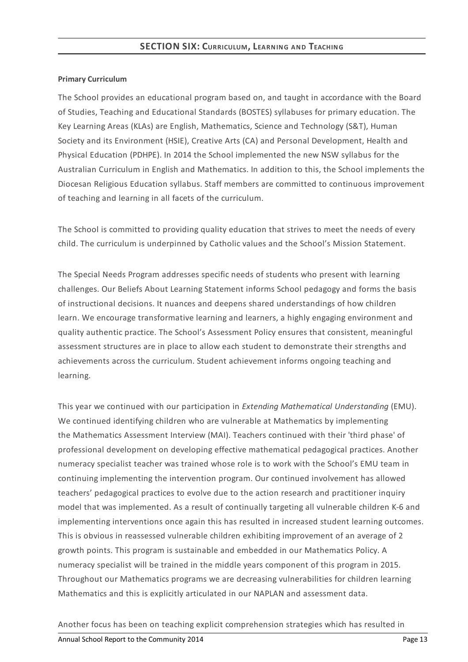### **Primary Curriculum**

The School provides an educational program based on, and taught in accordance with the Board of Studies, Teaching and Educational Standards (BOSTES) syllabuses for primary education. The Key Learning Areas (KLAs) are English, Mathematics, Science and Technology (S&T), Human Society and its Environment (HSIE), Creative Arts (CA) and Personal Development, Health and Physical Education (PDHPE). In 2014 the School implemented the new NSW syllabus for the Australian Curriculum in English and Mathematics. In addition to this, the School implements the Diocesan Religious Education syllabus. Staff members are committed to continuous improvement of teaching and learning in all facets of the curriculum.

The School is committed to providing quality education that strives to meet the needs of every child. The curriculum is underpinned by Catholic values and the School's Mission Statement.

The Special Needs Program addresses specific needs of students who present with learning challenges. Our Beliefs About Learning Statement informs School pedagogy and forms the basis of instructional decisions. It nuances and deepens shared understandings of how children learn. We encourage transformative learning and learners, a highly engaging environment and quality authentic practice. The School's Assessment Policy ensures that consistent, meaningful assessment structures are in place to allow each student to demonstrate their strengths and achievements across the curriculum. Student achievement informs ongoing teaching and learning.

This year we continued with our participation in *Extending Mathematical Understanding* (EMU). We continued identifying children who are vulnerable at Mathematics by implementing the Mathematics Assessment Interview (MAI). Teachers continued with their 'third phase' of professional development on developing effective mathematical pedagogical practices. Another numeracy specialist teacher was trained whose role is to work with the School's EMU team in continuing implementing the intervention program. Our continued involvement has allowed teachers' pedagogical practices to evolve due to the action research and practitioner inquiry model that was implemented. As a result of continually targeting all vulnerable children K-6 and implementing interventions once again this has resulted in increased student learning outcomes. This is obvious in reassessed vulnerable children exhibiting improvement of an average of 2 growth points. This program is sustainable and embedded in our Mathematics Policy. A numeracy specialist will be trained in the middle years component of this program in 2015. Throughout our Mathematics programs we are decreasing vulnerabilities for children learning Mathematics and this is explicitly articulated in our NAPLAN and assessment data.

Another focus has been on teaching explicit comprehension strategies which has resulted in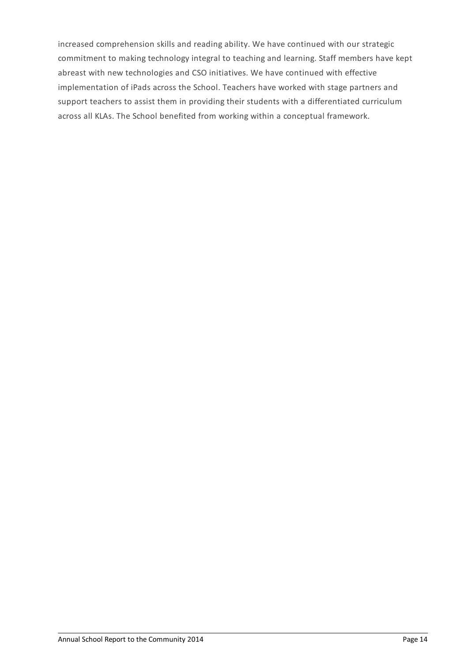increased comprehension skills and reading ability. We have continued with our strategic commitment to making technology integral to teaching and learning. Staff members have kept abreast with new technologies and CSO initiatives. We have continued with effective implementation of iPads across the School. Teachers have worked with stage partners and support teachers to assist them in providing their students with a differentiated curriculum across all KLAs. The School benefited from working within a conceptual framework.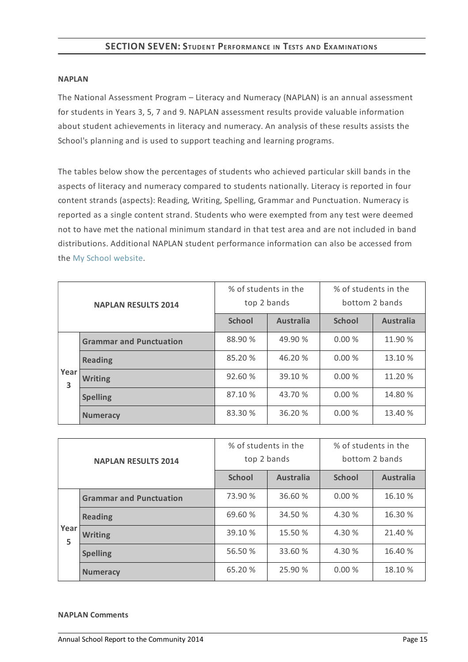# **SECTION SEVEN:STUDENT PERFORMANCE IN TESTS AND EXAMINATIONS**

#### **NAPLAN**

The National Assessment Program – Literacy and Numeracy (NAPLAN) is an annual assessment for students in Years 3, 5, 7 and 9. NAPLAN assessment results provide valuable information about student achievements in literacy and numeracy. An analysis of these results assists the School's planning and is used to support teaching and learning programs.

The tables below show the percentages of students who achieved particular skill bands in the aspects of literacy and numeracy compared to students nationally. Literacy is reported in four content strands (aspects): Reading, Writing, Spelling, Grammar and Punctuation. Numeracy is reported as a single content strand. Students who were exempted from any test were deemed not to have met the national minimum standard in that test area and are not included in band distributions. Additional NAPLAN student performance information can also be accessed from the My School [website](http://www.myschool.edu.au/).

| <b>NAPLAN RESULTS 2014</b> |                                | % of students in the<br>top 2 bands |                  | % of students in the<br>bottom 2 bands |                  |
|----------------------------|--------------------------------|-------------------------------------|------------------|----------------------------------------|------------------|
|                            |                                | <b>School</b>                       | <b>Australia</b> | <b>School</b>                          | <b>Australia</b> |
|                            | <b>Grammar and Punctuation</b> | 88.90 %                             | 49.90 %          | 0.00%                                  | 11.90 %          |
|                            | <b>Reading</b>                 | 85.20 %                             | 46.20 %          | 0.00%                                  | 13.10 %          |
| Year<br>3                  | <b>Writing</b>                 | 92.60%                              | 39.10 %          | 0.00%                                  | 11.20 %          |
|                            | <b>Spelling</b>                | 87.10 %                             | 43.70 %          | 0.00%                                  | 14.80 %          |
|                            | <b>Numeracy</b>                | 83.30 %                             | 36.20 %          | 0.00%                                  | 13.40 %          |

| <b>NAPLAN RESULTS 2014</b> |                                | % of students in the<br>top 2 bands |                  | % of students in the<br>bottom 2 bands |                  |
|----------------------------|--------------------------------|-------------------------------------|------------------|----------------------------------------|------------------|
|                            |                                | <b>School</b>                       | <b>Australia</b> | <b>School</b>                          | <b>Australia</b> |
|                            | <b>Grammar and Punctuation</b> | 73.90 %                             | 36.60 %          | 0.00%                                  | 16.10 %          |
|                            | <b>Reading</b>                 | 69.60 %                             | 34.50 %          | 4.30 %                                 | 16.30 %          |
| Year<br>5                  | <b>Writing</b>                 | 39.10 %                             | 15.50 %          | 4.30 %                                 | 21.40 %          |
|                            | <b>Spelling</b>                | 56.50 %                             | 33.60 %          | 4.30 %                                 | 16.40 %          |
|                            | <b>Numeracy</b>                | 65.20 %                             | 25.90 %          | 0.00%                                  | 18.10 %          |

#### **NAPLAN Comments**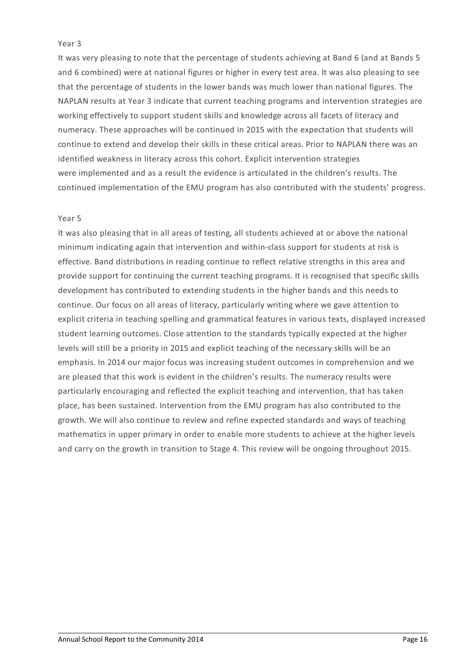### Year 3

It was very pleasing to note that the percentage of students achieving at Band 6 (and at Bands 5 and 6 combined) were at national figures or higher in every test area. It was also pleasing to see that the percentage of students in the lower bands was much lower than national figures. The NAPLAN results at Year 3 indicate that current teaching programs and intervention strategies are working effectively to support student skills and knowledge across all facets of literacy and numeracy. These approaches will be continued in 2015 with the expectation that students will continue to extend and develop their skills in these critical areas. Prior to NAPLAN there was an identified weakness in literacy across this cohort. Explicit intervention strategies were implemented and as a result the evidence is articulated in the children's results. The continued implementation of the EMU program has also contributed with the students' progress.

### Year 5

It was also pleasing that in all areas of testing, all students achieved at or above the national minimum indicating again that intervention and within-class support for students at risk is effective. Band distributions in reading continue to reflect relative strengths in this area and provide support for continuing the current teaching programs. It is recognised that specific skills development has contributed to extending students in the higher bands and this needs to continue. Our focus on all areas of literacy, particularly writing where we gave attention to explicit criteria in teaching spelling and grammatical features in various texts, displayed increased student learning outcomes. Close attention to the standards typically expected at the higher levels will still be a priority in 2015 and explicit teaching of the necessary skills will be an emphasis. In 2014 our major focus was increasing student outcomes in comprehension and we are pleased that this work is evident in the children's results. The numeracy results were particularly encouraging and reflected the explicit teaching and intervention, that has taken place, has been sustained. Intervention from the EMU program has also contributed to the growth. We will also continue to review and refine expected standards and ways of teaching mathematics in upper primary in order to enable more students to achieve at the higher levels and carry on the growth in transition to Stage 4. This review will be ongoing throughout 2015.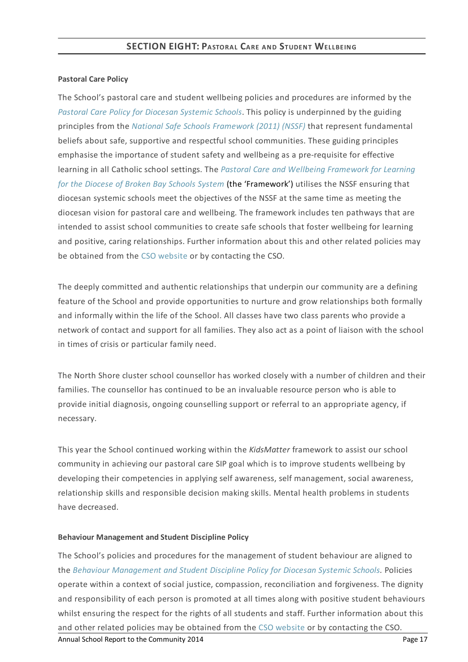## **Pastoral Care Policy**

The School's pastoral care and student wellbeing policies and procedures are informed by the *Pastoral Care Policy for [Diocesan](https://www.csodbb.catholic.edu.au/about/dsp-collection.cfm?loadref=125) Systemic Schools*. This policy is underpinned by the guiding principles from the *National Safe Schools [Framework](https://www.education.gov.au/national-safe-schools-framework-0) (2011) (NSSF)* that represent fundamental beliefs about safe, supportive and respectful school communities. These guiding principles emphasise the importance of student safety and wellbeing as a pre-requisite for effective learning in all Catholic school settings. The *Pastoral Care and Wellbeing Framework for Learning for the Diocese of Broken Bay Schools System* (the ['Framework'\)](https://www.csodbb.catholic.edu.au/studentwellbeing/dsp-default.cfm?loadref=140) utilises the NSSF ensuring that diocesan systemic schools meet the objectives of the NSSF at the same time as meeting the diocesan vision for pastoral care and wellbeing. The framework includes ten pathways that are intended to assist school communities to create safe schools that foster wellbeing for learning and positive, caring relationships. Further information about this and other related policies may be obtained from the CSO [website](https://www.csodbb.catholic.edu.au/about/dsp-collection.cfm?loadref=125) or by contacting the CSO.

The deeply committed and authentic relationships that underpin our community are a defining feature of the School and provide opportunities to nurture and grow relationships both formally and informally within the life of the School. All classes have two class parents who provide a network of contact and support for all families. They also act as a point of liaison with the school in times of crisis or particular family need.

The North Shore cluster school counsellor has worked closely with a number of children and their families. The counsellor has continued to be an invaluable resource person who is able to provide initial diagnosis, ongoing counselling support or referral to an appropriate agency, if necessary.

This year the School continued working within the *KidsMatter* framework to assist our school community in achieving our pastoral care SIP goal which is to improve students wellbeing by developing their competencies in applying self awareness, self management, social awareness, relationship skills and responsible decision making skills. Mental health problems in students have decreased.

## **Behaviour Management and Student Discipline Policy**

The School's policies and procedures for the management of student behaviour are aligned to the *Behaviour [Management](https://www.csodbb.catholic.edu.au/about/dsp-collection.cfm?loadref=125) and Student Discipline Policy for Diocesan Systemic Schools.* Policies operate within a context of social justice, compassion, reconciliation and forgiveness. The dignity and responsibility of each person is promoted at all times along with positive student behaviours whilst ensuring the respect for the rights of all students and staff. Further information about this and other related policies may be obtained from the CSO [website](https://www.csodbb.catholic.edu.au/about/dsp-collection.cfm?loadref=125) or by contacting the CSO. Annual School Report to the Community 2014 **Page 17** Annual School Report to the Community 2014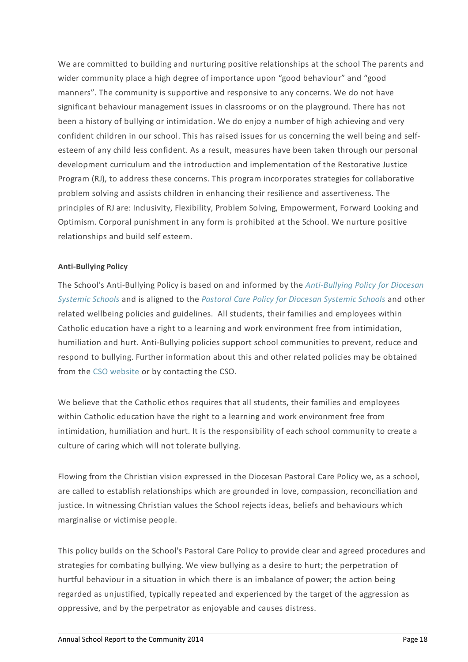We are committed to building and nurturing positive relationships at the school The parents and wider community place a high degree of importance upon "good behaviour" and "good manners". The community is supportive and responsive to any concerns. We do not have significant behaviour management issues in classrooms or on the playground. There has not been a history of bullying or intimidation. We do enjoy a number of high achieving and very confident children in our school. This has raised issues for us concerning the well being and selfesteem of any child less confident. As a result, measures have been taken through our personal development curriculum and the introduction and implementation of the Restorative Justice Program (RJ), to address these concerns. This program incorporates strategies for collaborative problem solving and assists children in enhancing their resilience and assertiveness. The principles of RJ are: Inclusivity, Flexibility, Problem Solving, Empowerment, Forward Looking and Optimism. Corporal punishment in any form is prohibited at the School. We nurture positive relationships and build self esteem.

## **Anti-Bullying Policy**

The School's [Anti-Bullying](https://www.csodbb.catholic.edu.au/about/dsp-collection.cfm?loadref=125) Policy is based on and informed by the *Anti-Bullying Policy for Diocesan Systemic Schools* and is aligned to the *Pastoral Care Policy for [Diocesan](https://www.csodbb.catholic.edu.au/about/dsp-collection.cfm?loadref=125) Systemic Schools* and other related wellbeing policies and guidelines. All students, their families and employees within Catholic education have a right to a learning and work environment free from intimidation, humiliation and hurt. Anti-Bullying policies support school communities to prevent, reduce and respond to bullying. Further information about this and other related policies may be obtained from the CSO [website](https://www.csodbb.catholic.edu.au/about/dsp-collection.cfm?loadref=125) or by contacting the CSO.

We believe that the Catholic ethos requires that all students, their families and employees within Catholic education have the right to a learning and work environment free from intimidation, humiliation and hurt. It is the responsibility of each school community to create a culture of caring which will not tolerate bullying.

Flowing from the Christian vision expressed in the Diocesan Pastoral Care Policy we, as a school, are called to establish relationships which are grounded in love, compassion, reconciliation and justice. In witnessing Christian values the School rejects ideas, beliefs and behaviours which marginalise or victimise people.

This policy builds on the School's Pastoral Care Policy to provide clear and agreed procedures and strategies for combating bullying. We view bullying as a desire to hurt; the perpetration of hurtful behaviour in a situation in which there is an imbalance of power; the action being regarded as unjustified, typically repeated and experienced by the target of the aggression as oppressive, and by the perpetrator as enjoyable and causes distress.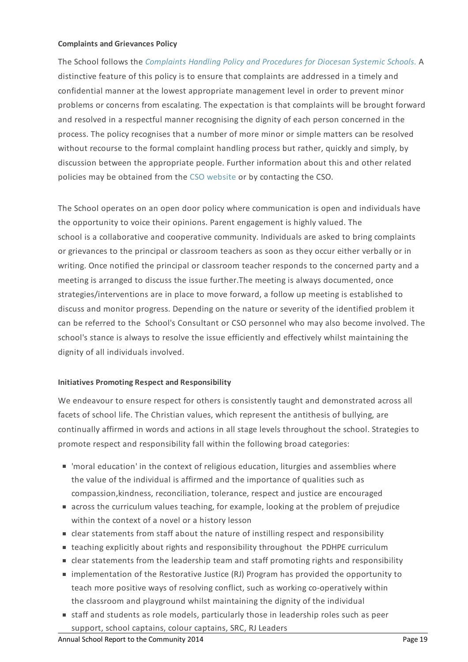### **Complaints and Grievances Policy**

The School follows the *[Complaints](https://www.csodbb.catholic.edu.au/about/dsp-collection.cfm?loadref=125) Handling Policy and Procedures for Diocesan Systemic Schools.* A distinctive feature of this policy is to ensure that complaints are addressed in a timely and confidential manner at the lowest appropriate management level in order to prevent minor problems or concerns from escalating. The expectation is that complaints will be brought forward and resolved in a respectful manner recognising the dignity of each person concerned in the process. The policy recognises that a number of more minor or simple matters can be resolved without recourse to the formal complaint handling process but rather, quickly and simply, by discussion between the appropriate people. Further information about this and other related policies may be obtained from the CSO [website](https://www.csodbb.catholic.edu.au/about/dsp-collection.cfm?loadref=125) or by contacting the CSO.

The School operates on an open door policy where communication is open and individuals have the opportunity to voice their opinions. Parent engagement is highly valued. The school is a collaborative and cooperative community. Individuals are asked to bring complaints or grievances to the principal or classroom teachers as soon as they occur either verbally or in writing. Once notified the principal or classroom teacher responds to the concerned party and a meeting is arranged to discuss the issue further.The meeting is always documented, once strategies/interventions are in place to move forward, a follow up meeting is established to discuss and monitor progress. Depending on the nature or severity of the identified problem it can be referred to the School's Consultant or CSO personnel who may also become involved. The school's stance is always to resolve the issue efficiently and effectively whilst maintaining the dignity of all individuals involved.

## **Initiatives Promoting Respect and Responsibility**

We endeavour to ensure respect for others is consistently taught and demonstrated across all facets of school life. The Christian values, which represent the antithesis of bullying, are continually affirmed in words and actions in all stage levels throughout the school. Strategies to promote respect and responsibility fall within the following broad categories:

- 'moral education' in the context of religious education, liturgies and assemblies where the value of the individual is affirmed and the importance of qualities such as compassion,kindness, reconciliation, tolerance, respect and justice are encouraged
- across the curriculum values teaching, for example, looking at the problem of prejudice within the context of a novel or a history lesson
- clear statements from staff about the nature of instilling respect and responsibility
- teaching explicitly about rights and responsibility throughout the PDHPE curriculum
- **Example 1** clear statements from the leadership team and staff promoting rights and responsibility
- implementation of the Restorative Justice (RJ) Program has provided the opportunity to teach more positive ways of resolving conflict, such as working co-operatively within the classroom and playground whilst maintaining the dignity of the individual
- staff and students as role models, particularly those in leadership roles such as peer support, school captains, colour captains, SRC, RJ Leaders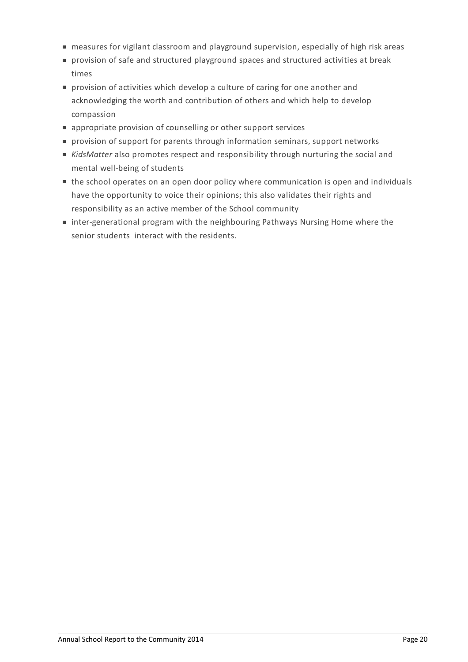- measures for vigilant classroom and playground supervision, especially of high risk areas
- provision of safe and structured playground spaces and structured activities at break times
- **provision of activities which develop a culture of caring for one another and** acknowledging the worth and contribution of others and which help to develop compassion
- appropriate provision of counselling or other support services
- provision of support for parents through information seminars, support networks
- *KidsMatter* also promotes respect and responsibility through nurturing the social and mental well-being of students
- the school operates on an open door policy where communication is open and individuals have the opportunity to voice their opinions; this also validates their rights and responsibility as an active member of the School community
- inter-generational program with the neighbouring Pathways Nursing Home where the senior students interact with the residents.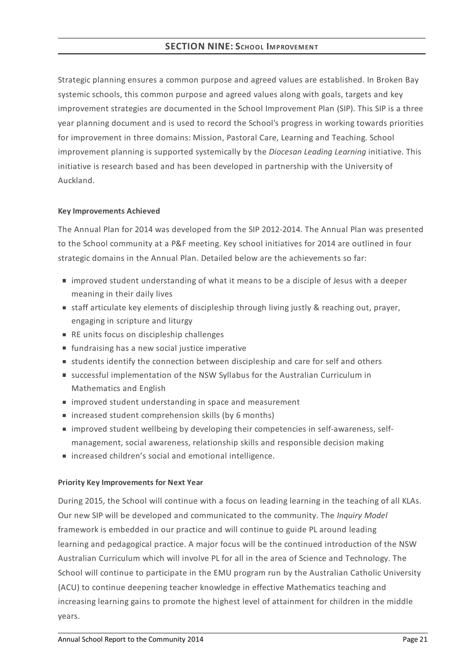# **SECTION NINE:SCHOOL IMPROVEMENT**

Strategic planning ensures a common purpose and agreed values are established. In Broken Bay systemic schools, this common purpose and agreed values along with goals, targets and key improvement strategies are documented in the School Improvement Plan (SIP). This SIP is a three year planning document and is used to record the School's progress in working towards priorities for improvement in three domains: Mission, Pastoral Care, Learning and Teaching. School improvement planning is supported systemically by the *Diocesan Leading Learning* initiative. This initiative is research based and has been developed in partnership with the University of Auckland.

### **KeyImprovements Achieved**

The Annual Plan for 2014 was developed from the SIP 2012-2014. The Annual Plan was presented to the School community at a P&F meeting. Key school initiatives for 2014 are outlined in four strategic domains in the Annual Plan. Detailed below are the achievements so far:

- improved student understanding of what it means to be a disciple of Jesus with a deeper meaning in their daily lives
- staff articulate key elements of discipleship through living justly & reaching out, prayer, engaging in scripture and liturgy
- RE units focus on discipleship challenges
- **fundraising has a new social justice imperative**
- students identify the connection between discipleship and care for self and others
- successful implementation of the NSW Syllabus for the Australian Curriculum in Mathematics and English
- **n** improved student understanding in space and measurement
- increased student comprehension skills (by 6 months)
- improved student wellbeing by developing their competencies in self-awareness, selfmanagement, social awareness, relationship skills and responsible decision making
- increased children's social and emotional intelligence.

## **Priority KeyImprovements for Next Year**

During 2015, the School will continue with a focus on leading learning in the teaching of all KLAs. Our new SIP will be developed and communicated to the community. The *Inquiry Model* framework is embedded in our practice and will continue to guide PL around leading learning and pedagogical practice. A major focus will be the continued introduction of the NSW Australian Curriculum which will involve PL for all in the area of Science and Technology. The School will continue to participate in the EMU program run by the Australian Catholic University (ACU) to continue deepening teacher knowledge in effective Mathematics teaching and increasing learning gains to promote the highest level of attainment for children in the middle years.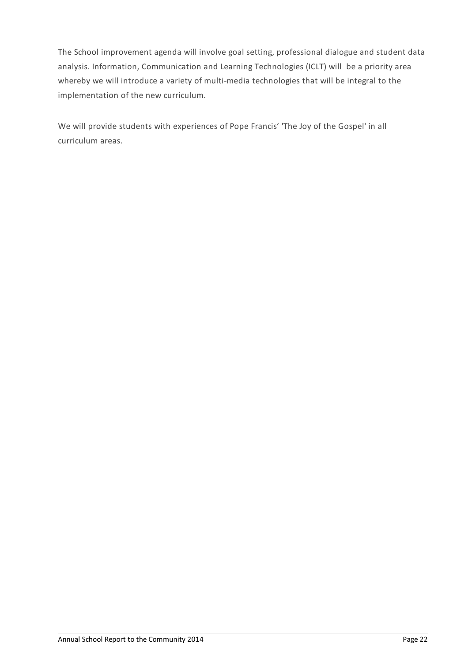The School improvement agenda will involve goal setting, professional dialogue and student data analysis. Information, Communication and Learning Technologies (ICLT) will be a priority area whereby we will introduce a variety of multi-media technologies that will be integral to the implementation of the new curriculum.

We will provide students with experiences of Pope Francis' 'The Joy of the Gospel' in all curriculum areas.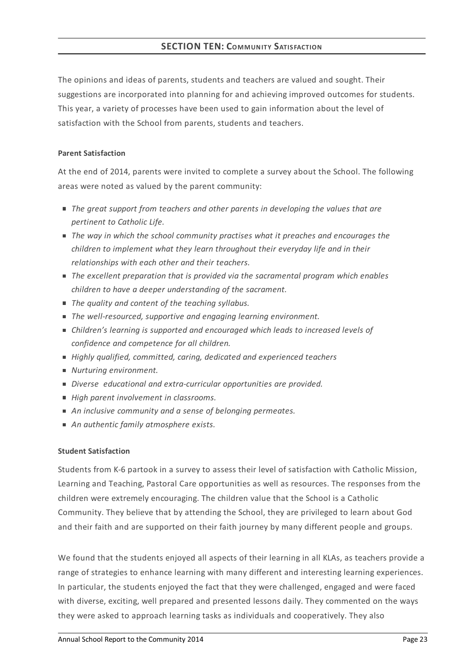The opinions and ideas of parents, students and teachers are valued and sought. Their suggestions are incorporated into planning for and achieving improved outcomes for students. This year, a variety of processes have been used to gain information about the level of satisfaction with the School from parents, students and teachers.

## **Parent Satisfaction**

At the end of 2014, parents were invited to complete a survey about the School. The following areas were noted as valued by the parent community:

- *The great support from teachers and other parents in developing the values that are pertinent to Catholic Life.*
- *The way in which the school community practises what it preaches and encourages the children to implement what they learn throughout their everyday life and in their relationships with each other and their teachers.*
- *The excellent preparation that is provided via the sacramental program which enables children to have a deeper understanding of the sacrament.*
- *The quality and content of the teaching syllabus.*
- *The well-resourced, supportive and engaging learning environment.*
- *Children's learning is supported and encouraged which leads to increased levels of confidence and competence for all children.*
- *Highly qualified, committed, caring, dedicated and experienced teachers*
- *Nurturing environment.*
- *Diverse educational and extra-curricular opportunities are provided.*
- *High parent involvement in classrooms.*
- *An inclusive community and a sense of belonging permeates.*
- *An authentic family atmosphere exists.*

## **Student Satisfaction**

Students from K-6 partook in a survey to assess their level of satisfaction with Catholic Mission, Learning and Teaching, Pastoral Care opportunities as well as resources. The responses from the children were extremely encouraging. The children value that the School is a Catholic Community. They believe that by attending the School, they are privileged to learn about God and their faith and are supported on their faith journey by many different people and groups.

We found that the students enjoyed all aspects of their learning in all KLAs, as teachers provide a range of strategies to enhance learning with many different and interesting learning experiences. In particular, the students enjoyed the fact that they were challenged, engaged and were faced with diverse, exciting, well prepared and presented lessons daily. They commented on the ways they were asked to approach learning tasks as individuals and cooperatively. They also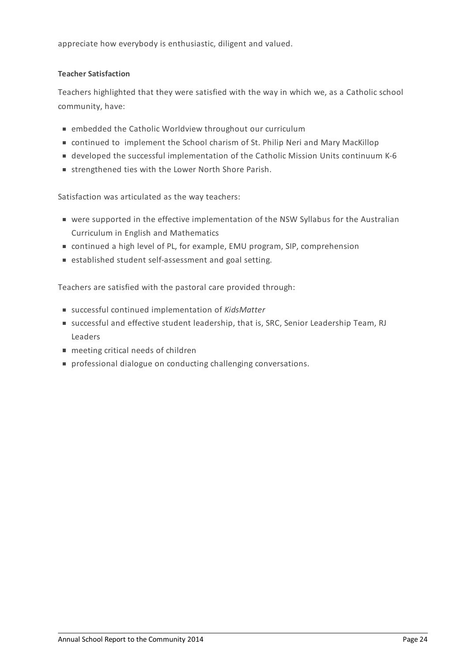appreciate how everybody is enthusiastic, diligent and valued.

### **Teacher Satisfaction**

Teachers highlighted that they were satisfied with the way in which we, as a Catholic school community, have:

- embedded the Catholic Worldview throughout our curriculum
- continued to implement the School charism of St. Philip Neri and Mary MacKillop
- developed the successful implementation of the Catholic Mission Units continuum K-6
- strengthened ties with the Lower North Shore Parish.

Satisfaction was articulated as the way teachers:

- were supported in the effective implementation of the NSW Syllabus for the Australian Curriculum in English and Mathematics
- continued a high level of PL, for example, EMU program, SIP, comprehension
- established student self-assessment and goal setting.

Teachers are satisfied with the pastoral care provided through:

- successful continued implementation of *KidsMatter*
- successful and effective student leadership, that is, SRC, Senior Leadership Team, RJ Leaders
- meeting critical needs of children
- professional dialogue on conducting challenging conversations.